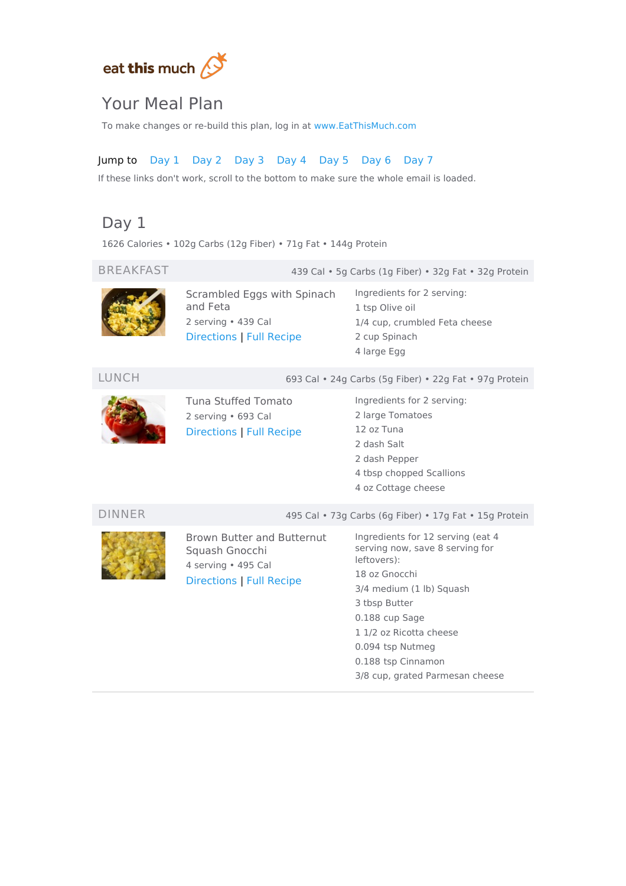

## Your Meal Plan

To make changes or re-build this plan, log in at [www.EatThisMuch.com](https://www.eatthismuch.com/)

### Jump to [Day](#page-0-0) 1 [Day](#page-1-0) 2 [Day](#page-1-1) 3 [Day](#page-2-0) 4 [Day](#page-3-0) 5 [Day](#page-3-1) 6 [Day](#page-4-0) 7

If these links don't work, scroll to the bottom to make sure the whole email is loaded.

## <span id="page-0-0"></span>Day 1

1626 Calories • 102g Carbs (12g Fiber) • 71g Fat • 144g Protein

BREAKFAST 439 Cal • 5g Carbs (1g Fiber) • 32g Fat • 32g Protein



Scrambled Eggs with Spinach and Feta 2 serving • 439 Cal [Directions](#page-5-0) | Full [Recipe](https://www.eatthismuch.com/recipe/view/scrambled-eggs-with-spinach-and-feta,207668/)

Ingredients for 2 serving: 1 tsp Olive oil 1/4 cup, crumbled Feta cheese 2 cup Spinach 4 large Egg

#### LUNCH 693 Cal • 24g Carbs (5g Fiber) • 22g Fat • 97g Protein



Tuna Stuffed Tomato 2 serving • 693 Cal [Directions](#page-5-1) | Full [Recipe](https://www.eatthismuch.com/recipe/view/tuna-stuffed-tomato,412998/) Ingredients for 2 serving: 2 large Tomatoes 12 oz Tuna 2 dash Salt

2 dash Pepper 4 tbsp chopped Scallions 4 oz Cottage cheese

#### DINNER 495 Cal • 73g Carbs (6g Fiber) • 17g Fat • 15g Protein



Brown Butter and Butternut Squash Gnocchi 4 serving • 495 Cal [Directions](#page-5-2) | Full [Recipe](https://www.eatthismuch.com/recipe/view/brown-butter-and-butternut-squash-gnocchi,412988/)

Ingredients for 12 serving (eat 4 serving now, save 8 serving for leftovers): 18 oz Gnocchi 3/4 medium (1 lb) Squash 3 tbsp Butter 0.188 cup Sage 1 1/2 oz Ricotta cheese 0.094 tsp Nutmeg 0.188 tsp Cinnamon 3/8 cup, grated Parmesan cheese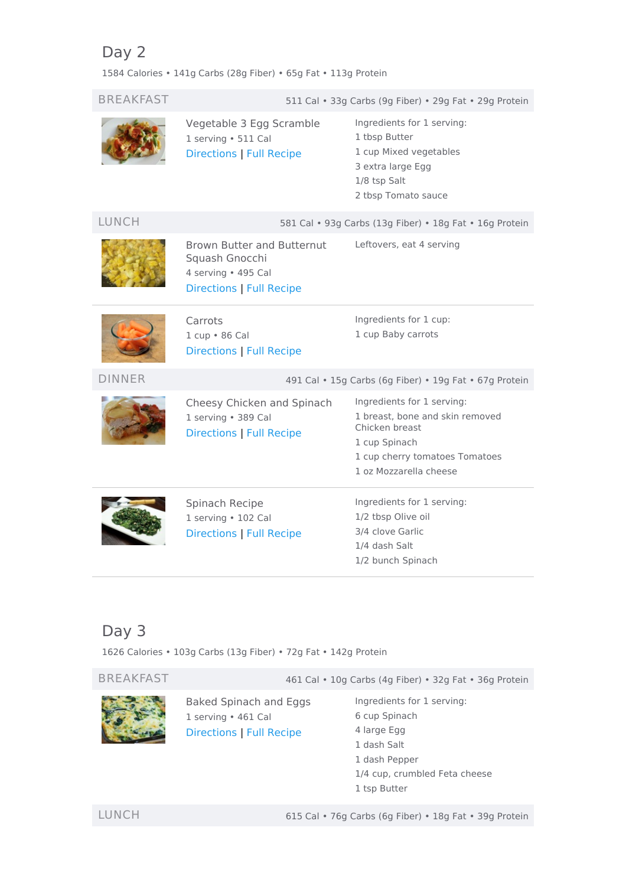## <span id="page-1-0"></span>Day 2

1584 Calories • 141g Carbs (28g Fiber) • 65g Fat • 113g Protein

| <b>BREAKFAST</b> |                                                                                                               | 511 Cal · 33g Carbs (9g Fiber) · 29g Fat · 29g Protein                                                                                                       |  |
|------------------|---------------------------------------------------------------------------------------------------------------|--------------------------------------------------------------------------------------------------------------------------------------------------------------|--|
|                  | Vegetable 3 Egg Scramble<br>1 serving · 511 Cal<br><b>Directions   Full Recipe</b>                            | Ingredients for 1 serving:<br>1 tbsp Butter<br>1 cup Mixed vegetables<br>3 extra large Egg<br>1/8 tsp Salt<br>2 tbsp Tomato sauce                            |  |
| <b>LUNCH</b>     | 581 Cal · 93g Carbs (13g Fiber) · 18g Fat · 16g Protein                                                       |                                                                                                                                                              |  |
|                  | <b>Brown Butter and Butternut</b><br>Squash Gnocchi<br>4 serving . 495 Cal<br><b>Directions   Full Recipe</b> | Leftovers, eat 4 serving                                                                                                                                     |  |
|                  | Carrots<br>1 cup . 86 Cal<br>Directions   Full Recipe                                                         | Ingredients for 1 cup:<br>1 cup Baby carrots                                                                                                                 |  |
| <b>DINNER</b>    | 491 Cal • 15g Carbs (6g Fiber) • 19g Fat • 67g Protein                                                        |                                                                                                                                                              |  |
|                  | Cheesy Chicken and Spinach<br>1 serving · 389 Cal<br>Directions   Full Recipe                                 | Ingredients for 1 serving:<br>1 breast, bone and skin removed<br>Chicken breast<br>1 cup Spinach<br>1 cup cherry tomatoes Tomatoes<br>1 oz Mozzarella cheese |  |
|                  | Spinach Recipe<br>1 serving . 102 Cal<br><b>Directions   Full Recipe</b>                                      | Ingredients for 1 serving:<br>1/2 tbsp Olive oil<br>3/4 clove Garlic<br>1/4 dash Salt<br>1/2 bunch Spinach                                                   |  |

## <span id="page-1-1"></span>Day 3

1626 Calories • 103g Carbs (13g Fiber) • 72g Fat • 142g Protein

BREAKFAST 461 Cal • 10g Carbs (4g Fiber) • 32g Fat • 36g Protein



Baked Spinach and Eggs 1 serving • 461 Cal [Directions](#page-7-0) | Full [Recipe](https://www.eatthismuch.com/recipe/view/baked-spinach-and-eggs,385883/)

Ingredients for 1 serving: cup Spinach large Egg dash Salt dash Pepper 1/4 cup, crumbled Feta cheese tsp Butter

LUNCH 615 Cal • 76g Carbs (6g Fiber) • 18g Fat • 39g Protein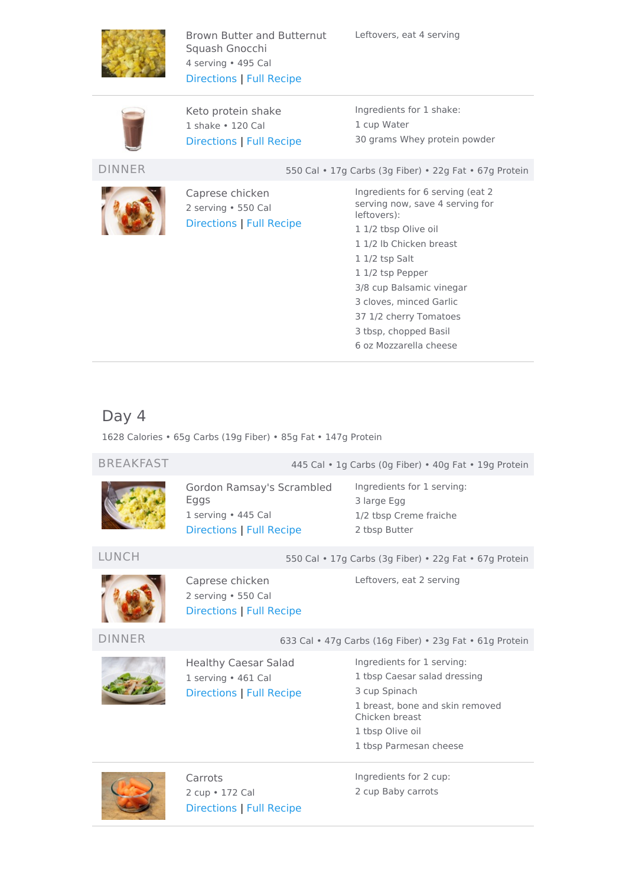

Brown Butter and Butternut Squash Gnocchi 4 serving • 495 Cal [Directions](#page-5-2) | Full [Recipe](https://www.eatthismuch.com/recipe/view/brown-butter-and-butternut-squash-gnocchi,412988/)



Keto protein shake 1 shake • 120 Cal [Directions](#page-7-1) | Full [Recipe](https://www.eatthismuch.com/recipe/view/keto-protein-shake,254529/) Ingredients for 1 shake: 1 cup Water 30 grams Whey protein powder

DINNER 550 Cal • 17g Carbs (3g Fiber) • 22g Fat • 67g Protein



Caprese chicken 2 serving • 550 Cal [Directions](#page-7-2) | Full [Recipe](https://www.eatthismuch.com/recipe/view/caprese-chicken,386716/)

Ingredients for 6 serving (eat 2 serving now, save 4 serving for leftovers): 1/2 tbsp Olive oil 1/2 lb Chicken breast 1/2 tsp Salt 1/2 tsp Pepper 3/8 cup Balsamic vinegar cloves, minced Garlic 1/2 cherry Tomatoes tbsp, chopped Basil oz Mozzarella cheese

## <span id="page-2-0"></span>Day 4

1628 Calories • 65g Carbs (19g Fiber) • 85g Fat • 147g Protein

BREAKFAST 445 Cal • 1g Carbs (0g Fiber) • 40g Fat • 19g Protein

Gordon Ramsay's Scrambled Eggs 1 serving • 445 Cal [Directions](#page-7-3) | Full [Recipe](https://www.eatthismuch.com/recipe/view/gordon-ramsays-scrambled-eggs,33946/)

Ingredients for 1 serving: 3 large Egg 1/2 tbsp Creme fraiche 2 tbsp Butter

Leftovers, eat 2 serving

### LUNCH 550 Cal • 17g Carbs (3g Fiber) • 22g Fat • 67g Protein



Caprese chicken 2 serving • 550 Cal [Directions](#page-7-2) | Full [Recipe](https://www.eatthismuch.com/recipe/view/caprese-chicken,386716/)

DINNER 633 Cal • 47g Carbs (16g Fiber) • 23g Fat • 61g Protein



Healthy Caesar Salad 1 serving • 461 Cal [Directions](#page-8-0) | Full [Recipe](https://www.eatthismuch.com/recipe/view/healthy-caesar-salad,34571/) Ingredients for 1 serving: tbsp Caesar salad dressing cup Spinach breast, bone and skin removed Chicken breast tbsp Olive oil

1 tbsp Parmesan cheese



Carrots 2 cup • 172 Cal [Directions](#page-6-1) | Full [Recipe](https://www.eatthismuch.com/recipe/view/carrots,478666/) Ingredients for 2 cup: 2 cup Baby carrots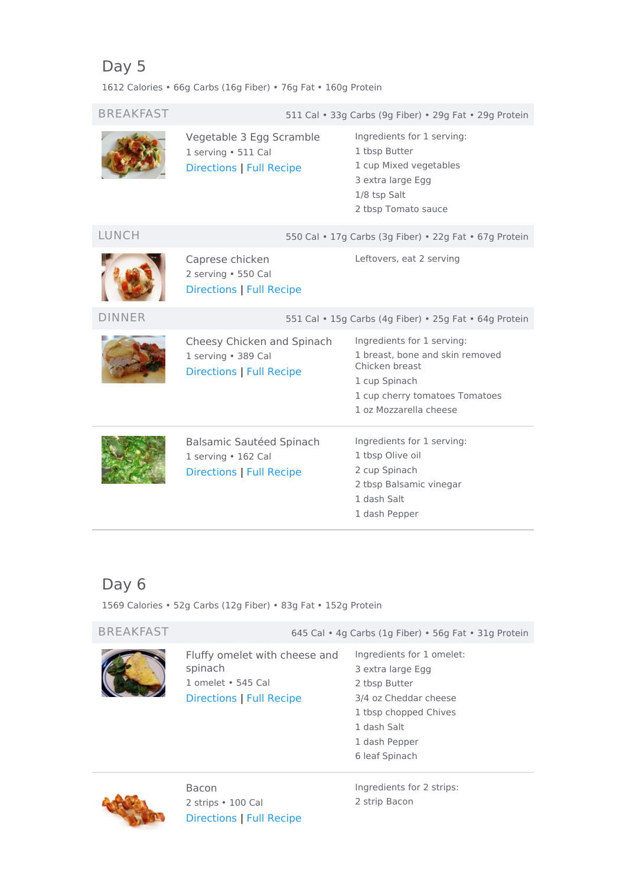# <span id="page-3-0"></span>Day 5

1612 Calories • 66g Carbs (16g Fiber) • 76g Fat • 160g Protein

| <b>BREAKFAST</b> | 511 Cal · 33g Carbs (9g Fiber) · 29g Fat · 29g Protein                               |                                                                                                                                                              |  |
|------------------|--------------------------------------------------------------------------------------|--------------------------------------------------------------------------------------------------------------------------------------------------------------|--|
|                  | Vegetable 3 Egg Scramble<br>1 serving . 511 Cal<br><b>Directions   Full Recipe</b>   | Ingredients for 1 serving:<br>1 tbsp Butter<br>1 cup Mixed vegetables<br>3 extra large Egg<br>1/8 tsp Salt<br>2 tbsp Tomato sauce                            |  |
| LUNCH            |                                                                                      | 550 Cal • 17g Carbs (3g Fiber) • 22g Fat • 67g Protein                                                                                                       |  |
|                  | Caprese chicken<br>2 serving · 550 Cal<br><b>Directions   Full Recipe</b>            | Leftovers, eat 2 serving                                                                                                                                     |  |
| <b>DINNER</b>    | 551 Cal • 15g Carbs (4g Fiber) • 25g Fat • 64g Protein                               |                                                                                                                                                              |  |
|                  | Cheesy Chicken and Spinach<br>1 serving · 389 Cal<br><b>Directions   Full Recipe</b> | Ingredients for 1 serving:<br>1 breast, bone and skin removed<br>Chicken breast<br>1 cup Spinach<br>1 cup cherry tomatoes Tomatoes<br>1 oz Mozzarella cheese |  |
|                  | Balsamic Sautéed Spinach<br>1 serving • 162 Cal<br>Directions   Full Recipe          | Ingredients for 1 serving:<br>1 tbsp Olive oil<br>2 cup Spinach<br>2 tbsp Balsamic vinegar<br>1 dash Salt<br>1 dash Pepper                                   |  |

# <span id="page-3-1"></span>Day 6

1569 Calories • 52g Carbs (12g Fiber) • 83g Fat • 152g Protein

| <b>BREAKFAST</b> | 645 Cal • 4g Carbs (1g Fiber) • 56g Fat • 31g Protein                                             |                                                                                                                                                   |  |
|------------------|---------------------------------------------------------------------------------------------------|---------------------------------------------------------------------------------------------------------------------------------------------------|--|
|                  | Fluffy omelet with cheese and<br>spinach<br>1 omelet • 545 Cal<br><b>Directions   Full Recipe</b> | Ingredients for 1 omelet:<br>3 extra large Egg<br>2 tbsp Butter<br>3/4 oz Cheddar cheese<br>1 tbsp chopped Chives<br>1 dash Salt<br>1 dash Pepper |  |



Bacon 2 strips • 100 Cal [Directions](#page-8-3) | Full [Recipe](https://www.eatthismuch.com/recipe/view/bacon,42618/) Ingredients for 2 strips: 2 strip Bacon

6 leaf Spinach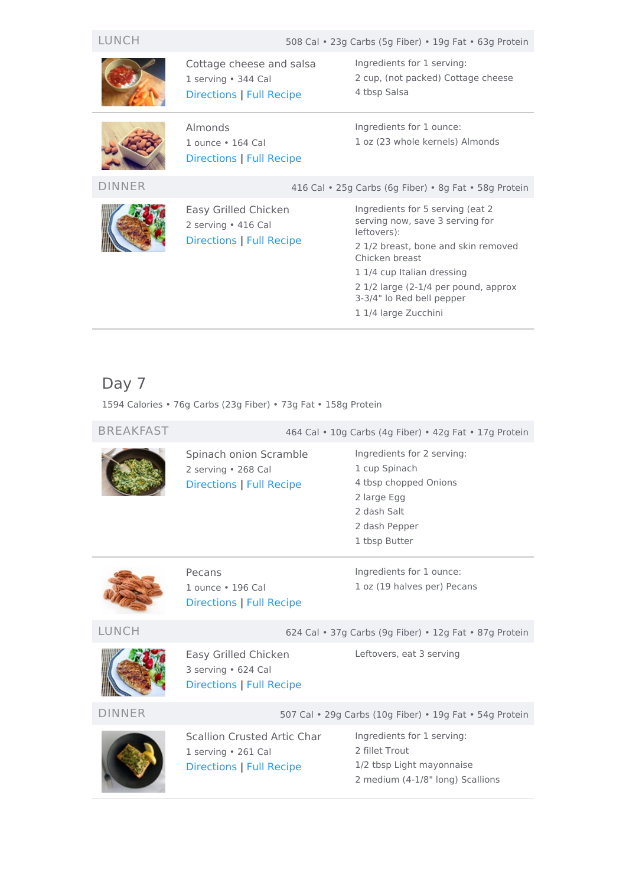LUNCH 508 Cal • 23g Carbs (5g Fiber) • 19g Fat • 63g Protein



Cottage cheese and salsa 1 serving • 344 Cal [Directions](#page-8-4) | Full [Recipe](https://www.eatthismuch.com/recipe/view/cottage-cheese-and-salsa,37613/)

1 ounce • 164 Cal Directions | Full [Recipe](https://www.eatthismuch.com/recipe/view/almonds,524950/)

Almonds



Easy Grilled Chicken 2 serving • 416 Cal [Directions](#page-9-0) | Full [Recipe](https://www.eatthismuch.com/recipe/view/easy-grilled-chicken,36662/) Ingredients for 1 serving: 2 cup, (not packed) Cottage cheese 4 tbsp Salsa

Ingredients for 1 ounce: 1 oz (23 whole kernels) Almonds

DINNER 416 Cal • 25g Carbs (6g Fiber) • 8g Fat • 58g Protein

Ingredients for 5 serving (eat 2 serving now, save 3 serving for leftovers): 2 1/2 breast, bone and skin removed Chicken breast 1 1/4 cup Italian dressing

2 1/2 large (2-1/4 per pound, approx

- 3-3/4" lo Red bell pepper
- 1 1/4 large Zucchini

## <span id="page-4-0"></span>Day 7

1594 Calories • 76g Carbs (23g Fiber) • 73g Fat • 158g Protein

Spinach onion Scramble 2 serving • 268 Cal [Directions](#page-9-1) | Full [Recipe](https://www.eatthismuch.com/recipe/view/spinach-onion-scramble,413015/)

BREAKFAST 464 Cal • 10g Carbs (4g Fiber) • 42g Fat • 17g Protein

Ingredients for 2 serving: cup Spinach tbsp chopped Onions large Egg dash Salt dash Pepper tbsp Butter



Pecans 1 ounce • 196 Cal Directions | Full [Recipe](https://www.eatthismuch.com/recipe/view/pecans,532146/) Ingredients for 1 ounce: 1 oz (19 halves per) Pecans

LUNCH 624 Cal • 37g Carbs (9g Fiber) • 12g Fat • 87g Protein



Easy Grilled Chicken 3 serving • 624 Cal [Directions](#page-9-0) | Full [Recipe](https://www.eatthismuch.com/recipe/view/easy-grilled-chicken,36662/)

Leftovers, eat 3 serving

DINNER 507 Cal • 29g Carbs (10g Fiber) • 19g Fat • 54g Protein



Scallion Crusted Artic Char 1 serving • 261 Cal [Directions](#page-9-2) | Full [Recipe](https://www.eatthismuch.com/recipe/view/scallion-crusted-artic-char,45142/)

Ingredients for 1 serving: 2 fillet Trout 1/2 tbsp Light mayonnaise 2 medium (4-1/8" long) Scallions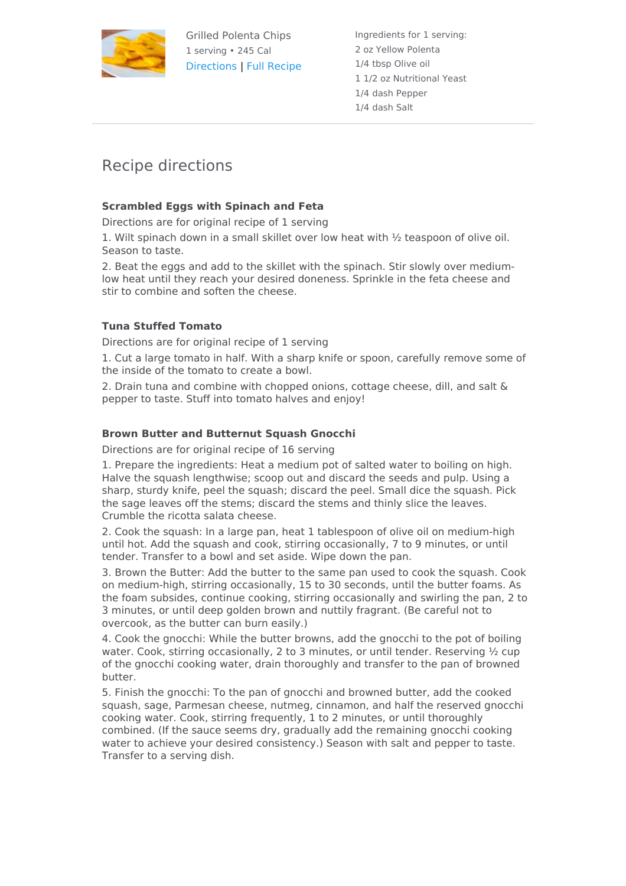

Grilled Polenta Chips 1 serving • 245 Cal [Directions](#page-9-3) | Full [Recipe](https://www.eatthismuch.com/recipe/view/grilled-polenta-chips,343678/) Ingredients for 1 serving: 2 oz Yellow Polenta 1/4 tbsp Olive oil 1 1/2 oz Nutritional Yeast 1/4 dash Pepper 1/4 dash Salt

## Recipe directions

### <span id="page-5-0"></span>**Scrambled Eggs with Spinach and Feta**

Directions are for original recipe of 1 serving

1. Wilt spinach down in a small skillet over low heat with ½ teaspoon of olive oil. Season to taste.

2. Beat the eggs and add to the skillet with the spinach. Stir slowly over mediumlow heat until they reach your desired doneness. Sprinkle in the feta cheese and stir to combine and soften the cheese.

### <span id="page-5-1"></span>**Tuna Stuffed Tomato**

Directions are for original recipe of 1 serving

1. Cut a large tomato in half. With a sharp knife or spoon, carefully remove some of the inside of the tomato to create a bowl.

2. Drain tuna and combine with chopped onions, cottage cheese, dill, and salt & pepper to taste. Stuff into tomato halves and enjoy!

### <span id="page-5-2"></span>**Brown Butter and Butternut Squash Gnocchi**

Directions are for original recipe of 16 serving

1. Prepare the ingredients: Heat a medium pot of salted water to boiling on high. Halve the squash lengthwise; scoop out and discard the seeds and pulp. Using a sharp, sturdy knife, peel the squash; discard the peel. Small dice the squash. Pick the sage leaves off the stems; discard the stems and thinly slice the leaves. Crumble the ricotta salata cheese.

2. Cook the squash: In a large pan, heat 1 tablespoon of olive oil on medium-high until hot. Add the squash and cook, stirring occasionally, 7 to 9 minutes, or until tender. Transfer to a bowl and set aside. Wipe down the pan.

3. Brown the Butter: Add the butter to the same pan used to cook the squash. Cook on medium-high, stirring occasionally, 15 to 30 seconds, until the butter foams. As the foam subsides, continue cooking, stirring occasionally and swirling the pan, 2 to 3 minutes, or until deep golden brown and nuttily fragrant. (Be careful not to overcook, as the butter can burn easily.)

4. Cook the gnocchi: While the butter browns, add the gnocchi to the pot of boiling water. Cook, stirring occasionally, 2 to 3 minutes, or until tender. Reserving ½ cup of the gnocchi cooking water, drain thoroughly and transfer to the pan of browned butter.

5. Finish the gnocchi: To the pan of gnocchi and browned butter, add the cooked squash, sage, Parmesan cheese, nutmeg, cinnamon, and half the reserved gnocchi cooking water. Cook, stirring frequently, 1 to 2 minutes, or until thoroughly combined. (If the sauce seems dry, gradually add the remaining gnocchi cooking water to achieve your desired consistency.) Season with salt and pepper to taste. Transfer to a serving dish.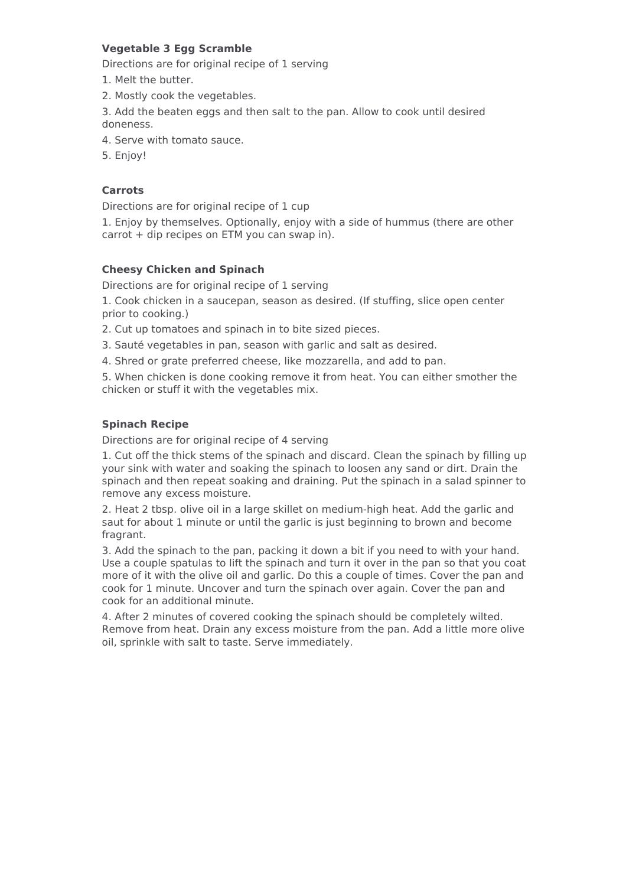### <span id="page-6-0"></span>**Vegetable 3 Egg Scramble**

Directions are for original recipe of 1 serving

- 1. Melt the butter.
- 2. Mostly cook the vegetables.
- 3. Add the beaten eggs and then salt to the pan. Allow to cook until desired doneness.
- 4. Serve with tomato sauce.
- 5. Enjoy!

#### <span id="page-6-1"></span>**Carrots**

Directions are for original recipe of 1 cup

1. Enjoy by themselves. Optionally, enjoy with a side of hummus (there are other carrot + dip recipes on ETM you can swap in).

#### <span id="page-6-2"></span>**Cheesy Chicken and Spinach**

Directions are for original recipe of 1 serving

1. Cook chicken in a saucepan, season as desired. (If stuffing, slice open center prior to cooking.)

- 2. Cut up tomatoes and spinach in to bite sized pieces.
- 3. Sauté vegetables in pan, season with garlic and salt as desired.
- 4. Shred or grate preferred cheese, like mozzarella, and add to pan.

5. When chicken is done cooking remove it from heat. You can either smother the chicken or stuff it with the vegetables mix.

#### <span id="page-6-3"></span>**Spinach Recipe**

Directions are for original recipe of 4 serving

1. Cut off the thick stems of the spinach and discard. Clean the spinach by filling up your sink with water and soaking the spinach to loosen any sand or dirt. Drain the spinach and then repeat soaking and draining. Put the spinach in a salad spinner to remove any excess moisture.

2. Heat 2 tbsp. olive oil in a large skillet on medium-high heat. Add the garlic and saut for about 1 minute or until the garlic is just beginning to brown and become fragrant.

3. Add the spinach to the pan, packing it down a bit if you need to with your hand. Use a couple spatulas to lift the spinach and turn it over in the pan so that you coat more of it with the olive oil and garlic. Do this a couple of times. Cover the pan and cook for 1 minute. Uncover and turn the spinach over again. Cover the pan and cook for an additional minute.

4. After 2 minutes of covered cooking the spinach should be completely wilted. Remove from heat. Drain any excess moisture from the pan. Add a little more olive oil, sprinkle with salt to taste. Serve immediately.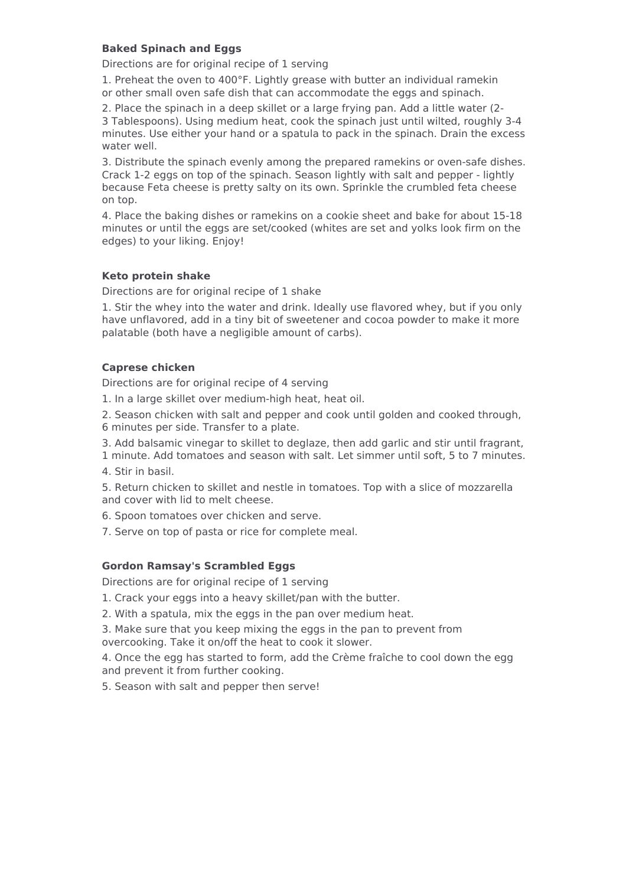#### <span id="page-7-0"></span>**Baked Spinach and Eggs**

Directions are for original recipe of 1 serving

1. Preheat the oven to 400°F. Lightly grease with butter an individual ramekin or other small oven safe dish that can accommodate the eggs and spinach.

2. Place the spinach in a deep skillet or a large frying pan. Add a little water (2- 3 Tablespoons). Using medium heat, cook the spinach just until wilted, roughly 3-4 minutes. Use either your hand or a spatula to pack in the spinach. Drain the excess water well.

3. Distribute the spinach evenly among the prepared ramekins or oven-safe dishes. Crack 1-2 eggs on top of the spinach. Season lightly with salt and pepper - lightly because Feta cheese is pretty salty on its own. Sprinkle the crumbled feta cheese on top.

4. Place the baking dishes or ramekins on a cookie sheet and bake for about 15-18 minutes or until the eggs are set/cooked (whites are set and yolks look firm on the edges) to your liking. Enjoy!

#### <span id="page-7-1"></span>**Keto protein shake**

Directions are for original recipe of 1 shake

1. Stir the whey into the water and drink. Ideally use flavored whey, but if you only have unflavored, add in a tiny bit of sweetener and cocoa powder to make it more palatable (both have a negligible amount of carbs).

#### <span id="page-7-2"></span>**Caprese chicken**

Directions are for original recipe of 4 serving

- 1. In a large skillet over medium-high heat, heat oil.
- 2. Season chicken with salt and pepper and cook until golden and cooked through, 6 minutes per side. Transfer to a plate.
- 3. Add balsamic vinegar to skillet to deglaze, then add garlic and stir until fragrant,
- 1 minute. Add tomatoes and season with salt. Let simmer until soft, 5 to 7 minutes.
- 4. Stir in basil.

5. Return chicken to skillet and nestle in tomatoes. Top with a slice of mozzarella and cover with lid to melt cheese.

6. Spoon tomatoes over chicken and serve.

7. Serve on top of pasta or rice for complete meal.

#### <span id="page-7-3"></span>**Gordon Ramsay's Scrambled Eggs**

Directions are for original recipe of 1 serving

- 1. Crack your eggs into a heavy skillet/pan with the butter.
- 2. With a spatula, mix the eggs in the pan over medium heat.

3. Make sure that you keep mixing the eggs in the pan to prevent from overcooking. Take it on/off the heat to cook it slower.

4. Once the egg has started to form, add the Crème fraîche to cool down the egg and prevent it from further cooking.

5. Season with salt and pepper then serve!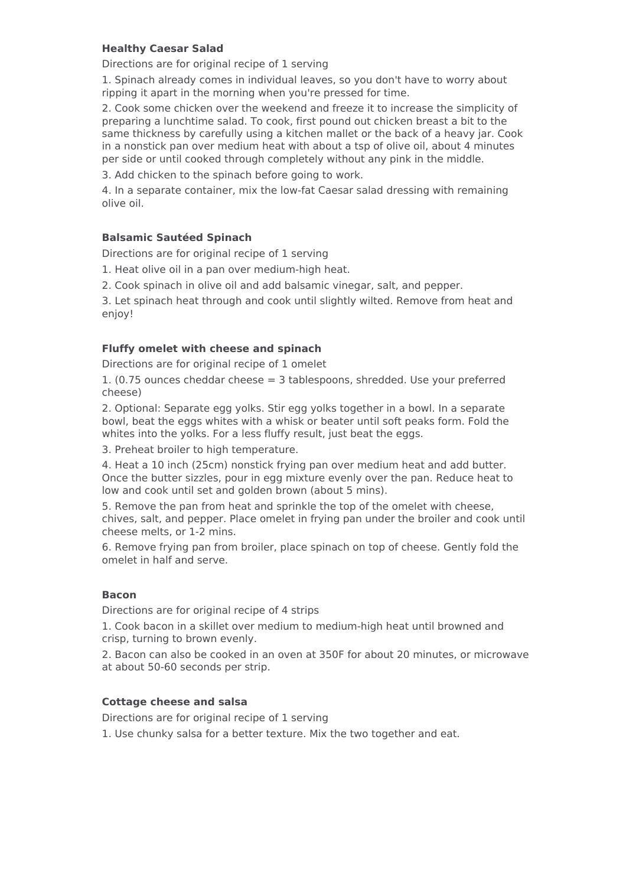#### <span id="page-8-0"></span>**Healthy Caesar Salad**

Directions are for original recipe of 1 serving

1. Spinach already comes in individual leaves, so you don't have to worry about ripping it apart in the morning when you're pressed for time.

2. Cook some chicken over the weekend and freeze it to increase the simplicity of preparing a lunchtime salad. To cook, first pound out chicken breast a bit to the same thickness by carefully using a kitchen mallet or the back of a heavy jar. Cook in a nonstick pan over medium heat with about a tsp of olive oil, about 4 minutes per side or until cooked through completely without any pink in the middle.

3. Add chicken to the spinach before going to work.

4. In a separate container, mix the low-fat Caesar salad dressing with remaining olive oil.

#### <span id="page-8-1"></span>**Balsamic Sautéed Spinach**

Directions are for original recipe of 1 serving

1. Heat olive oil in a pan over medium-high heat.

2. Cook spinach in olive oil and add balsamic vinegar, salt, and pepper.

3. Let spinach heat through and cook until slightly wilted. Remove from heat and enjoy!

#### <span id="page-8-2"></span>**Fluffy omelet with cheese and spinach**

Directions are for original recipe of 1 omelet

1. (0.75 ounces cheddar cheese = 3 tablespoons, shredded. Use your preferred cheese)

2. Optional: Separate egg yolks. Stir egg yolks together in a bowl. In a separate bowl, beat the eggs whites with a whisk or beater until soft peaks form. Fold the whites into the yolks. For a less fluffy result, just beat the eggs.

3. Preheat broiler to high temperature.

4. Heat a 10 inch (25cm) nonstick frying pan over medium heat and add butter. Once the butter sizzles, pour in egg mixture evenly over the pan. Reduce heat to low and cook until set and golden brown (about 5 mins).

5. Remove the pan from heat and sprinkle the top of the omelet with cheese, chives, salt, and pepper. Place omelet in frying pan under the broiler and cook until cheese melts, or 1-2 mins.

6. Remove frying pan from broiler, place spinach on top of cheese. Gently fold the omelet in half and serve.

#### <span id="page-8-3"></span>**Bacon**

Directions are for original recipe of 4 strips

1. Cook bacon in a skillet over medium to medium-high heat until browned and crisp, turning to brown evenly.

2. Bacon can also be cooked in an oven at 350F for about 20 minutes, or microwave at about 50-60 seconds per strip.

#### <span id="page-8-4"></span>**Cottage cheese and salsa**

Directions are for original recipe of 1 serving

1. Use chunky salsa for a better texture. Mix the two together and eat.